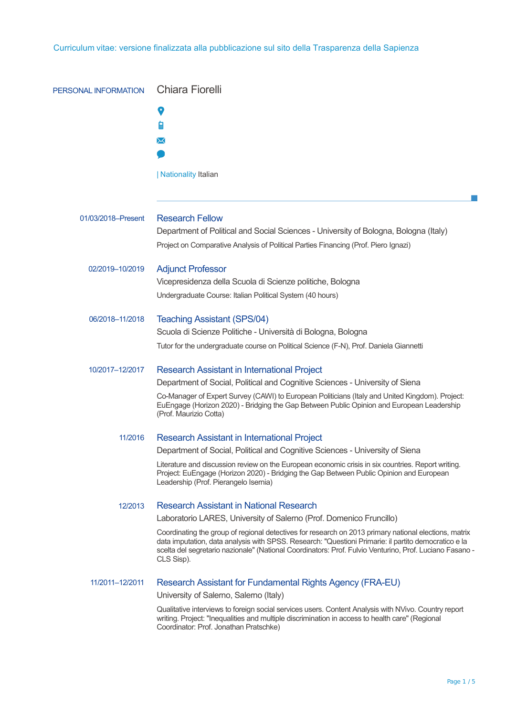| PERSONAL INFORMATION | <b>Chiara Fiorelli</b>                                                                                                                                                                                                                                                                                                                 |
|----------------------|----------------------------------------------------------------------------------------------------------------------------------------------------------------------------------------------------------------------------------------------------------------------------------------------------------------------------------------|
|                      |                                                                                                                                                                                                                                                                                                                                        |
|                      |                                                                                                                                                                                                                                                                                                                                        |
|                      | ⋈                                                                                                                                                                                                                                                                                                                                      |
|                      |                                                                                                                                                                                                                                                                                                                                        |
|                      | <b>Nationality Italian</b>                                                                                                                                                                                                                                                                                                             |
|                      |                                                                                                                                                                                                                                                                                                                                        |
|                      |                                                                                                                                                                                                                                                                                                                                        |
| 01/03/2018-Present   | <b>Research Fellow</b>                                                                                                                                                                                                                                                                                                                 |
|                      | Department of Political and Social Sciences - University of Bologna, Bologna (Italy)                                                                                                                                                                                                                                                   |
|                      | Project on Comparative Analysis of Political Parties Financing (Prof. Piero Ignazi)                                                                                                                                                                                                                                                    |
| 02/2019-10/2019      | <b>Adjunct Professor</b>                                                                                                                                                                                                                                                                                                               |
|                      | Vicepresidenza della Scuola di Scienze politiche, Bologna                                                                                                                                                                                                                                                                              |
|                      | Undergraduate Course: Italian Political System (40 hours)                                                                                                                                                                                                                                                                              |
| 06/2018-11/2018      | <b>Teaching Assistant (SPS/04)</b>                                                                                                                                                                                                                                                                                                     |
|                      | Scuola di Scienze Politiche - Università di Bologna, Bologna                                                                                                                                                                                                                                                                           |
|                      | Tutor for the undergraduate course on Political Science (F-N), Prof. Daniela Giannetti                                                                                                                                                                                                                                                 |
| 10/2017-12/2017      | <b>Research Assistant in International Project</b>                                                                                                                                                                                                                                                                                     |
|                      | Department of Social, Political and Cognitive Sciences - University of Siena                                                                                                                                                                                                                                                           |
|                      | Co-Manager of Expert Survey (CAWI) to European Politicians (Italy and United Kingdom). Project:<br>EuEngage (Horizon 2020) - Bridging the Gap Between Public Opinion and European Leadership<br>(Prof. Maurizio Cotta)                                                                                                                 |
| 11/2016              | Research Assistant in International Project                                                                                                                                                                                                                                                                                            |
|                      | Department of Social, Political and Cognitive Sciences - University of Siena                                                                                                                                                                                                                                                           |
|                      | Literature and discussion review on the European economic crisis in six countries. Report writing.<br>Project: EuEngage (Horizon 2020) - Bridging the Gap Between Public Opinion and European<br>Leadership (Prof. Pierangelo Isernia)                                                                                                 |
| 12/2013              | Research Assistant in National Research                                                                                                                                                                                                                                                                                                |
|                      | Laboratorio LARES, University of Salerno (Prof. Domenico Fruncillo)                                                                                                                                                                                                                                                                    |
|                      | Coordinating the group of regional detectives for research on 2013 primary national elections, matrix<br>data imputation, data analysis with SPSS. Research: "Questioni Primarie: il partito democratico e la<br>scelta del segretario nazionale" (National Coordinators: Prof. Fulvio Venturino, Prof. Luciano Fasano -<br>CLS Sisp). |
| 11/2011-12/2011      | Research Assistant for Fundamental Rights Agency (FRA-EU)                                                                                                                                                                                                                                                                              |
|                      | University of Salerno, Salerno (Italy)                                                                                                                                                                                                                                                                                                 |
|                      | Qualitative interviews to foreign social services users. Content Analysis with NVivo. Country report<br>writing. Project: "Inequalities and multiple discrimination in access to health care" (Regional<br>Coordinator: Prof. Jonathan Pratschke)                                                                                      |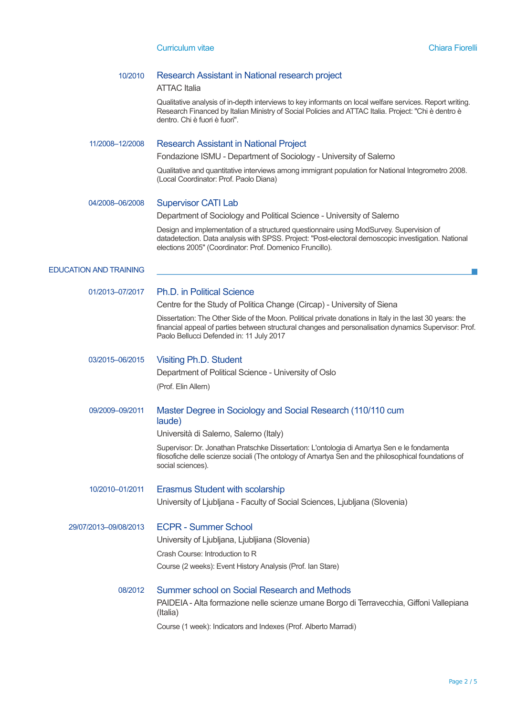## 10/2010 Research Assistant in National research project

#### ATTAC Italia

Qualitative analysis of in-depth interviews to key informants on local welfare services. Report writing. Research Financed by Italian Ministry of Social Policies and ATTAC Italia. Project: "Chi è dentro è dentro. Chi è fuori è fuori".

### 11/2008–12/2008 Research Assistant in National Project

Fondazione ISMU - Department of Sociology - University of Salerno

Qualitative and quantitative interviews among immigrant population for National Integrometro 2008. (Local Coordinator: Prof. Paolo Diana)

### 04/2008–06/2008 Supervisor CATI Lab

Department of Sociology and Political Science - University of Salerno

Design and implementation of a structured questionnaire using ModSurvey. Supervision of datadetection. Data analysis with SPSS. Project: "Post-electoral demoscopic investigation. National elections 2005" (Coordinator: Prof. Domenico Fruncillo).

### EDUCATION AND TRAINING

### 01/2013–07/2017 Ph.D. in Political Science

Centre for the Study of Politica Change (Circap) - University of Siena

Dissertation: The Other Side of the Moon. Political private donations in Italy in the last 30 years: the financial appeal of parties between structural changes and personalisation dynamics Supervisor: Prof. Paolo Bellucci Defended in: 11 July 2017

# 03/2015–06/2015 Visiting Ph.D. Student

Department of Political Science - University of Oslo

(Prof. Elin Allern)

# 09/2009–09/2011 Master Degree in Sociology and Social Research (110/110 cum laude)

Università di Salerno, Salerno (Italy)

Supervisor: Dr. Jonathan Pratschke Dissertation: L'ontologia di Amartya Sen e le fondamenta filosofiche delle scienze sociali (The ontology of Amartya Sen and the philosophical foundations of social sciences).

10/2010–01/2011 Erasmus Student with scolarship University of Ljubljana - Faculty of Social Sciences, Ljubljana (Slovenia)

29/07/2013–09/08/2013 ECPR - Summer School University of Ljubljana, Ljubljiana (Slovenia) Crash Course: Introduction to R Course (2 weeks): Event History Analysis (Prof. Ian Stare)

# 08/2012 Summer school on Social Research and Methods PAIDEIA - Alta formazione nelle scienze umane Borgo di Terravecchia, Giffoni Vallepiana (Italia)

Course (1 week): Indicators and Indexes (Prof. Alberto Marradi)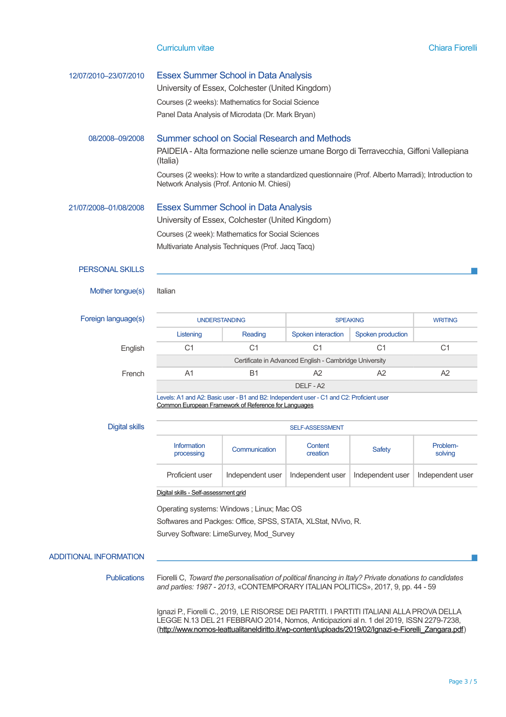### Curriculum vitae Chiara Fiorelli

| 12/07/2010-23/07/2010         | <b>Essex Summer School in Data Analysis</b><br>University of Essex, Colchester (United Kingdom)<br>Courses (2 weeks): Mathematics for Social Science<br>Panel Data Analysis of Microdata (Dr. Mark Bryan) |                                                                                                                                                  |                     |                   |                     |  |  |
|-------------------------------|-----------------------------------------------------------------------------------------------------------------------------------------------------------------------------------------------------------|--------------------------------------------------------------------------------------------------------------------------------------------------|---------------------|-------------------|---------------------|--|--|
| 08/2008-09/2008               | Summer school on Social Research and Methods<br>PAIDEIA - Alta formazione nelle scienze umane Borgo di Terravecchia, Giffoni Vallepiana<br>(Italia)                                                       |                                                                                                                                                  |                     |                   |                     |  |  |
|                               | Courses (2 weeks): How to write a standardized questionnaire (Prof. Alberto Marradi); Introduction to<br>Network Analysis (Prof. Antonio M. Chiesi)                                                       |                                                                                                                                                  |                     |                   |                     |  |  |
| 21/07/2008-01/08/2008         | <b>Essex Summer School in Data Analysis</b><br>University of Essex, Colchester (United Kingdom)                                                                                                           |                                                                                                                                                  |                     |                   |                     |  |  |
|                               | Courses (2 week): Mathematics for Social Sciences<br>Multivariate Analysis Techniques (Prof. Jacq Tacq)                                                                                                   |                                                                                                                                                  |                     |                   |                     |  |  |
| <b>PERSONAL SKILLS</b>        |                                                                                                                                                                                                           |                                                                                                                                                  |                     |                   |                     |  |  |
| Mother tongue(s)              | Italian                                                                                                                                                                                                   |                                                                                                                                                  |                     |                   |                     |  |  |
| Foreign language(s)           | <b>UNDERSTANDING</b>                                                                                                                                                                                      |                                                                                                                                                  | <b>SPEAKING</b>     |                   | <b>WRITING</b>      |  |  |
|                               | Listening                                                                                                                                                                                                 | Reading                                                                                                                                          | Spoken interaction  | Spoken production |                     |  |  |
| English                       | C <sub>1</sub>                                                                                                                                                                                            | C <sub>1</sub>                                                                                                                                   | C <sub>1</sub>      | C <sub>1</sub>    | C <sub>1</sub>      |  |  |
|                               | Certificate in Advanced English - Cambridge University                                                                                                                                                    |                                                                                                                                                  |                     |                   |                     |  |  |
| French                        | A <sub>1</sub>                                                                                                                                                                                            | <b>B1</b>                                                                                                                                        | A2                  | A2                | A2                  |  |  |
|                               | DELF - A2                                                                                                                                                                                                 |                                                                                                                                                  |                     |                   |                     |  |  |
|                               |                                                                                                                                                                                                           | Levels: A1 and A2: Basic user - B1 and B2: Independent user - C1 and C2: Proficient user<br>Common European Framework of Reference for Languages |                     |                   |                     |  |  |
| <b>Digital skills</b>         | <b>SELF-ASSESSMENT</b>                                                                                                                                                                                    |                                                                                                                                                  |                     |                   |                     |  |  |
|                               | <b>Information</b><br>processing                                                                                                                                                                          | Communication                                                                                                                                    | Content<br>creation | Safety            | Problem-<br>solving |  |  |
|                               | Proficient user                                                                                                                                                                                           | Independent user                                                                                                                                 | Independent user    | Independent user  | Independent user    |  |  |
|                               | Digital skills - Self-assessment grid                                                                                                                                                                     |                                                                                                                                                  |                     |                   |                     |  |  |
|                               | Operating systems: Windows ; Linux; Mac OS<br>Softwares and Packges: Office, SPSS, STATA, XLStat, NVivo, R.<br>Survey Software: LimeSurvey, Mod_Survey                                                    |                                                                                                                                                  |                     |                   |                     |  |  |
|                               |                                                                                                                                                                                                           |                                                                                                                                                  |                     |                   |                     |  |  |
|                               |                                                                                                                                                                                                           |                                                                                                                                                  |                     |                   |                     |  |  |
| <b>ADDITIONAL INFORMATION</b> |                                                                                                                                                                                                           |                                                                                                                                                  |                     |                   |                     |  |  |
| <b>Publications</b>           | Fiorelli C, Toward the personalisation of political financing in Italy? Private donations to candidates<br>and parties: 1987 - 2013, «CONTEMPORARY ITALIAN POLITICS», 2017, 9, pp. 44 - 59                |                                                                                                                                                  |                     |                   |                     |  |  |

Ignazi P., Fiorelli C., 2019, LE RISORSE DEI PARTITI. I PARTITI ITALIANI ALLA PROVA DELLA LEGGE N.13 DEL 21 FEBBRAIO 2014, Nomos, Anticipazioni al n. 1 del 2019, ISSN 2279-7238, [\(http://www.nomos-leattualitaneldiritto.it/wp-content/uploads/2019/02/Ignazi-e-Fiorelli\\_Zangara.pdf\)](http://www.nomos-leattualitaneldiritto.it/wp-content/uploads/2019/02/Ignazi-e-Fiorelli_Zangara.pdf)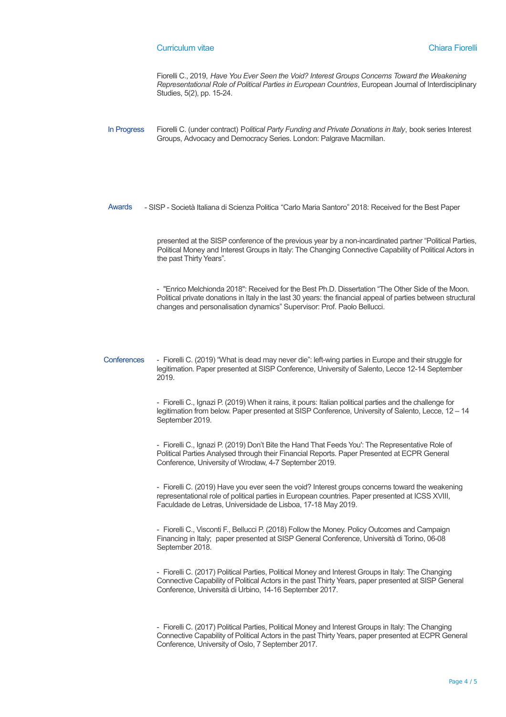#### Curriculum vitae Chiara Fiorelli

Fiorelli C., 2019, *Have You Ever Seen the Void? Interest Groups Concerns Toward the Weakening Representational Role of Political Parties in European Countries*, European Journal of Interdisciplinary Studies, 5(2), pp. 15-24.

In Progress Fiorelli C. (under contract) P*olitical Party Funding and Private Donations in Italy*, book series Interest Groups, Advocacy and Democracy Series. London: Palgrave Macmillan.

Awards - SISP - Società Italiana di Scienza Politica "Carlo Maria Santoro" 2018: Received for the Best Paper

presented at the SISP conference of the previous year by a non-incardinated partner "Political Parties, Political Money and Interest Groups in Italy: The Changing Connective Capability of Political Actors in the past Thirty Years".

- "Enrico Melchionda 2018": Received for the Best Ph.D. Dissertation "The Other Side of the Moon. Political private donations in Italy in the last 30 years: the financial appeal of parties between structural changes and personalisation dynamics" Supervisor: Prof. Paolo Bellucci.

Conferences - Fiorelli C. (2019) "What is dead may never die": left-wing parties in Europe and their struggle for legitimation. Paper presented at SISP Conference, University of Salento, Lecce 12-14 September 2019.

> - Fiorelli C., Ignazi P. (2019) When it rains, it pours: Italian political parties and the challenge for legitimation from below. Paper presented at SISP Conference, University of Salento, Lecce, 12 – 14 September 2019.

- Fiorelli C., Ignazi P. (2019) Don't Bite the Hand That Feeds You': The Representative Role of Political Parties Analysed through their Financial Reports. Paper Presented at ECPR General Conference, University of Wrocław, 4-7 September 2019.

- Fiorelli C. (2019) Have you ever seen the void? Interest groups concerns toward the weakening representational role of political parties in European countries. Paper presented at ICSS XVIII, Faculdade de Letras, Universidade de Lisboa, 17-18 May 2019.

- Fiorelli C., Visconti F., Bellucci P. (2018) Follow the Money. Policy Outcomes and Campaign Financing in Italy; paper presented at SISP General Conference, Università di Torino, 06-08 September 2018.

- Fiorelli C. (2017) Political Parties, Political Money and Interest Groups in Italy: The Changing Connective Capability of Political Actors in the past Thirty Years, paper presented at SISP General Conference, Università di Urbino, 14-16 September 2017.

- Fiorelli C. (2017) Political Parties, Political Money and Interest Groups in Italy: The Changing Connective Capability of Political Actors in the past Thirty Years, paper presented at ECPR General Conference, University of Oslo, 7 September 2017.